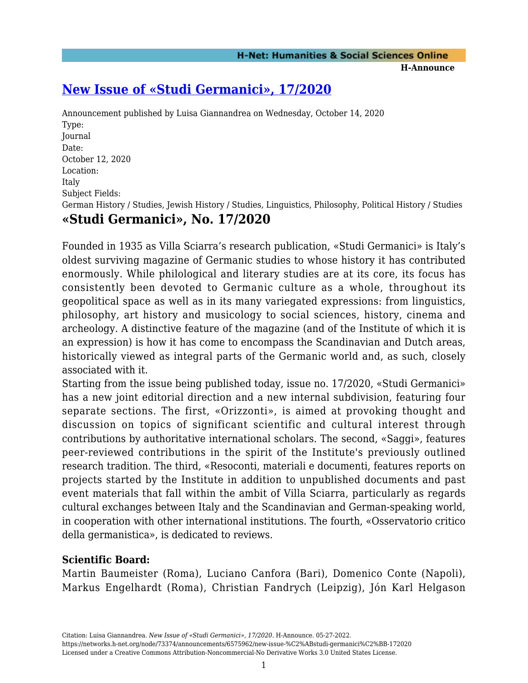# **[New Issue of «Studi Germanici», 17/2020](https://networks.h-net.org/node/73374/announcements/6575962/new-issue-%C2%ABstudi-germanici%C2%BB-172020)**

Announcement published by Luisa Giannandrea on Wednesday, October 14, 2020 Type: Journal Date: October 12, 2020 Location: Italy Subject Fields: German History / Studies, Jewish History / Studies, Linguistics, Philosophy, Political History / Studies **«Studi Germanici», No. 17/2020**

Founded in 1935 as Villa Sciarra's research publication, «Studi Germanici» is Italy's oldest surviving magazine of Germanic studies to whose history it has contributed enormously. While philological and literary studies are at its core, its focus has consistently been devoted to Germanic culture as a whole, throughout its geopolitical space as well as in its many variegated expressions: from linguistics, philosophy, art history and musicology to social sciences, history, cinema and archeology. A distinctive feature of the magazine (and of the Institute of which it is an expression) is how it has come to encompass the Scandinavian and Dutch areas, historically viewed as integral parts of the Germanic world and, as such, closely associated with it.

Starting from the issue being published today, issue no. 17/2020, «Studi Germanici» has a new joint editorial direction and a new internal subdivision, featuring four separate sections. The first, «Orizzonti», is aimed at provoking thought and discussion on topics of significant scientific and cultural interest through contributions by authoritative international scholars. The second, «Saggi», features peer-reviewed contributions in the spirit of the Institute's previously outlined research tradition. The third, «Resoconti, materiali e documenti, features reports on projects started by the Institute in addition to unpublished documents and past event materials that fall within the ambit of Villa Sciarra, particularly as regards cultural exchanges between Italy and the Scandinavian and German-speaking world, in cooperation with other international institutions. The fourth, «Osservatorio critico della germanistica», is dedicated to reviews.

### **Scientific Board:**

Martin Baumeister (Roma), Luciano Canfora (Bari), Domenico Conte (Napoli), Markus Engelhardt (Roma), Christian Fandrych (Leipzig), Jón Karl Helgason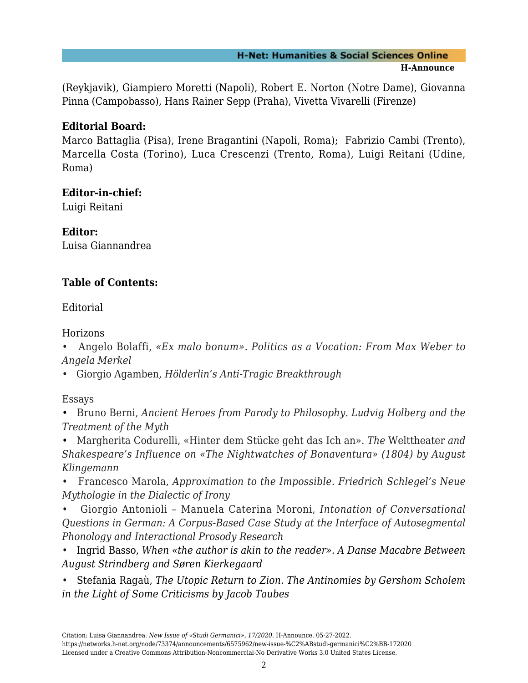#### **H-Net: Humanities & Social Sciences Online H-Announce**

(Reykjavik), Giampiero Moretti (Napoli), Robert E. Norton (Notre Dame), Giovanna Pinna (Campobasso), Hans Rainer Sepp (Praha), Vivetta Vivarelli (Firenze)

## **Editorial Board:**

Marco Battaglia (Pisa), Irene Bragantini (Napoli, Roma); Fabrizio Cambi (Trento), Marcella Costa (Torino), Luca Crescenzi (Trento, Roma), Luigi Reitani (Udine, Roma)

### **Editor-in-chief:**

Luigi Reitani

**Editor:** Luisa Giannandrea

# **Table of Contents:**

Editorial

Horizons

• Angelo Bolaffi, *«Ex malo bonum». Politics as a Vocation: From Max Weber to Angela Merkel*

• Giorgio Agamben, *Hölderlin's Anti-Tragic Breakthrough*

Essays

• Bruno Berni, *Ancient Heroes from Parody to Philosophy. Ludvig Holberg and the Treatment of the Myth*

• Margherita Codurelli, «Hinter dem Stücke geht das Ich an». *The* Welttheater *and Shakespeare's Influence on «The Nightwatches of Bonaventura» (1804) by August Klingemann*

• Francesco Marola, *Approximation to the Impossible. Friedrich Schlegel's Neue Mythologie in the Dialectic of Irony*

• Giorgio Antonioli – Manuela Caterina Moroni, *Intonation of Conversational Questions in German: A Corpus-Based Case Study at the Interface of Autosegmental Phonology and Interactional Prosody Research*

*•* Ingrid Basso, *When «the author is akin to the reader». A Danse Macabre Between August Strindberg and Søren Kierkegaard*

*•* Stefania Ragaù, *The Utopic Return to Zion. The Antinomies by Gershom Scholem in the Light of Some Criticisms by Jacob Taubes*